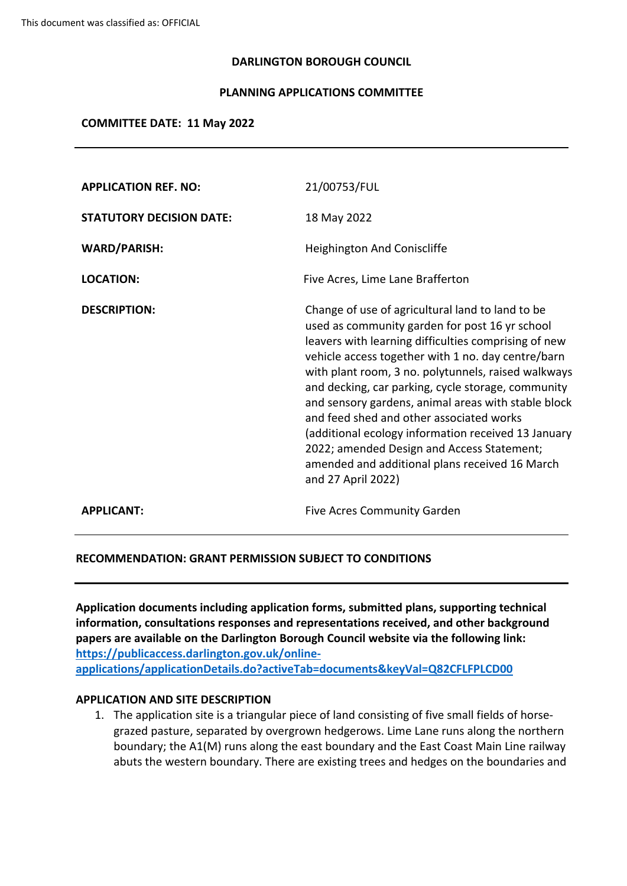#### **DARLINGTON BOROUGH COUNCIL**

#### **PLANNING APPLICATIONS COMMITTEE**

#### **COMMITTEE DATE: 11 May 2022**

| <b>APPLICATION REF. NO:</b>     | 21/00753/FUL                                                                                                                                                                                                                                                                                                                                                                                                                                                                                                                                                                                                  |
|---------------------------------|---------------------------------------------------------------------------------------------------------------------------------------------------------------------------------------------------------------------------------------------------------------------------------------------------------------------------------------------------------------------------------------------------------------------------------------------------------------------------------------------------------------------------------------------------------------------------------------------------------------|
| <b>STATUTORY DECISION DATE:</b> | 18 May 2022                                                                                                                                                                                                                                                                                                                                                                                                                                                                                                                                                                                                   |
| <b>WARD/PARISH:</b>             | Heighington And Coniscliffe                                                                                                                                                                                                                                                                                                                                                                                                                                                                                                                                                                                   |
| <b>LOCATION:</b>                | Five Acres, Lime Lane Brafferton                                                                                                                                                                                                                                                                                                                                                                                                                                                                                                                                                                              |
| <b>DESCRIPTION:</b>             | Change of use of agricultural land to land to be<br>used as community garden for post 16 yr school<br>leavers with learning difficulties comprising of new<br>vehicle access together with 1 no. day centre/barn<br>with plant room, 3 no. polytunnels, raised walkways<br>and decking, car parking, cycle storage, community<br>and sensory gardens, animal areas with stable block<br>and feed shed and other associated works<br>(additional ecology information received 13 January<br>2022; amended Design and Access Statement;<br>amended and additional plans received 16 March<br>and 27 April 2022) |
| <b>APPLICANT:</b>               | <b>Five Acres Community Garden</b>                                                                                                                                                                                                                                                                                                                                                                                                                                                                                                                                                                            |

#### **RECOMMENDATION: GRANT PERMISSION SUBJECT TO CONDITIONS**

**Application documents including application forms, submitted plans, supporting technical information, consultations responses and representations received, and other background papers are available on the Darlington Borough Council website via the following link: [https://publicaccess.darlington.gov.uk/online](https://publicaccess.darlington.gov.uk/online-applications/applicationDetails.do?activeTab=documents&keyVal=Q82CFLFPLCD00)[applications/applicationDetails.do?activeTab=documents&keyVal=Q82CFLFPLCD00](https://publicaccess.darlington.gov.uk/online-applications/applicationDetails.do?activeTab=documents&keyVal=Q82CFLFPLCD00)**

#### **APPLICATION AND SITE DESCRIPTION**

1. The application site is a triangular piece of land consisting of five small fields of horsegrazed pasture, separated by overgrown hedgerows. Lime Lane runs along the northern boundary; the A1(M) runs along the east boundary and the East Coast Main Line railway abuts the western boundary. There are existing trees and hedges on the boundaries and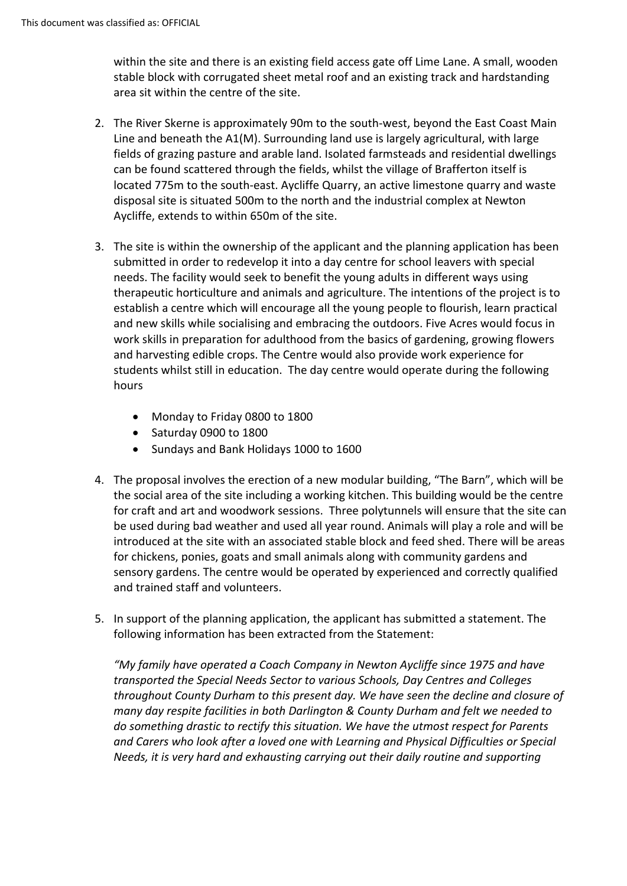within the site and there is an existing field access gate off Lime Lane. A small, wooden stable block with corrugated sheet metal roof and an existing track and hardstanding area sit within the centre of the site.

- 2. The River Skerne is approximately 90m to the south-west, beyond the East Coast Main Line and beneath the A1(M). Surrounding land use is largely agricultural, with large fields of grazing pasture and arable land. Isolated farmsteads and residential dwellings can be found scattered through the fields, whilst the village of Brafferton itself is located 775m to the south-east. Aycliffe Quarry, an active limestone quarry and waste disposal site is situated 500m to the north and the industrial complex at Newton Aycliffe, extends to within 650m of the site.
- 3. The site is within the ownership of the applicant and the planning application has been submitted in order to redevelop it into a day centre for school leavers with special needs. The facility would seek to benefit the young adults in different ways using therapeutic horticulture and animals and agriculture. The intentions of the project is to establish a centre which will encourage all the young people to flourish, learn practical and new skills while socialising and embracing the outdoors. Five Acres would focus in work skills in preparation for adulthood from the basics of gardening, growing flowers and harvesting edible crops. The Centre would also provide work experience for students whilst still in education. The day centre would operate during the following hours
	- Monday to Friday 0800 to 1800
	- Saturday 0900 to 1800
	- Sundays and Bank Holidays 1000 to 1600
- 4. The proposal involves the erection of a new modular building, "The Barn", which will be the social area of the site including a working kitchen. This building would be the centre for craft and art and woodwork sessions. Three polytunnels will ensure that the site can be used during bad weather and used all year round. Animals will play a role and will be introduced at the site with an associated stable block and feed shed. There will be areas for chickens, ponies, goats and small animals along with community gardens and sensory gardens. The centre would be operated by experienced and correctly qualified and trained staff and volunteers.
- 5. In support of the planning application, the applicant has submitted a statement. The following information has been extracted from the Statement:

*"My family have operated a Coach Company in Newton Aycliffe since 1975 and have transported the Special Needs Sector to various Schools, Day Centres and Colleges throughout County Durham to this present day. We have seen the decline and closure of many day respite facilities in both Darlington & County Durham and felt we needed to do something drastic to rectify this situation. We have the utmost respect for Parents and Carers who look after a loved one with Learning and Physical Difficulties or Special Needs, it is very hard and exhausting carrying out their daily routine and supporting*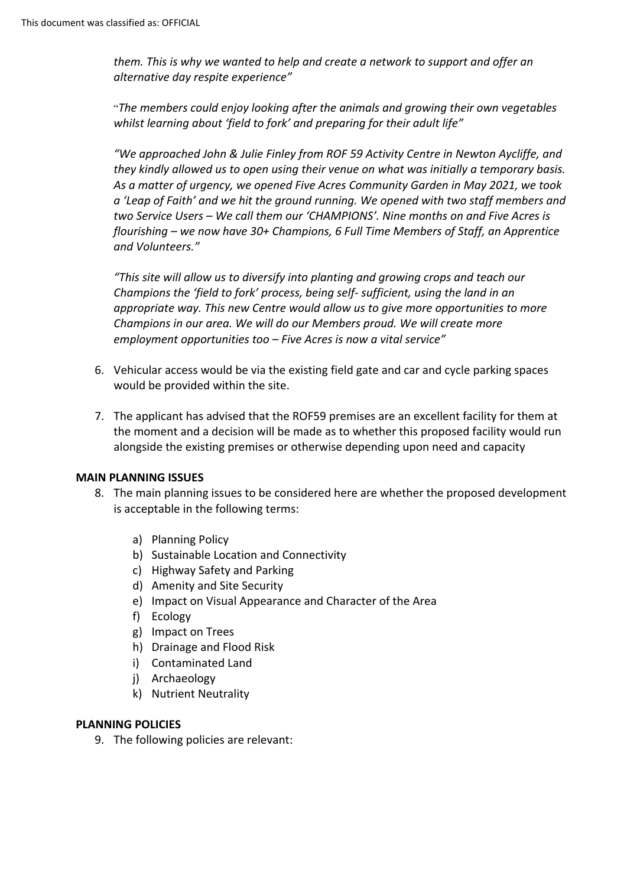*them. This is why we wanted to help and create a network to support and offer an alternative day respite experience"*

"*The members could enjoy looking after the animals and growing their own vegetables whilst learning about 'field to fork' and preparing for their adult life"*

*"We approached John & Julie Finley from ROF 59 Activity Centre in Newton Aycliffe, and they kindly allowed us to open using their venue on what was initially a temporary basis. As a matter of urgency, we opened Five Acres Community Garden in May 2021, we took a 'Leap of Faith' and we hit the ground running. We opened with two staff members and two Service Users – We call them our 'CHAMPIONS'. Nine months on and Five Acres is flourishing – we now have 30+ Champions, 6 Full Time Members of Staff, an Apprentice and Volunteers."*

*"This site will allow us to diversify into planting and growing crops and teach our Champions the 'field to fork' process, being self- sufficient, using the land in an appropriate way. This new Centre would allow us to give more opportunities to more Champions in our area. We will do our Members proud. We will create more employment opportunities too – Five Acres is now a vital service"*

- 6. Vehicular access would be via the existing field gate and car and cycle parking spaces would be provided within the site.
- 7. The applicant has advised that the ROF59 premises are an excellent facility for them at the moment and a decision will be made as to whether this proposed facility would run alongside the existing premises or otherwise depending upon need and capacity

#### **MAIN PLANNING ISSUES**

- 8. The main planning issues to be considered here are whether the proposed development is acceptable in the following terms:
	- a) Planning Policy
	- b) Sustainable Location and Connectivity
	- c) Highway Safety and Parking
	- d) Amenity and Site Security
	- e) Impact on Visual Appearance and Character of the Area
	- f) Ecology
	- g) Impact on Trees
	- h) Drainage and Flood Risk
	- i) Contaminated Land
	- j) Archaeology
	- k) Nutrient Neutrality

#### **PLANNING POLICIES**

9. The following policies are relevant: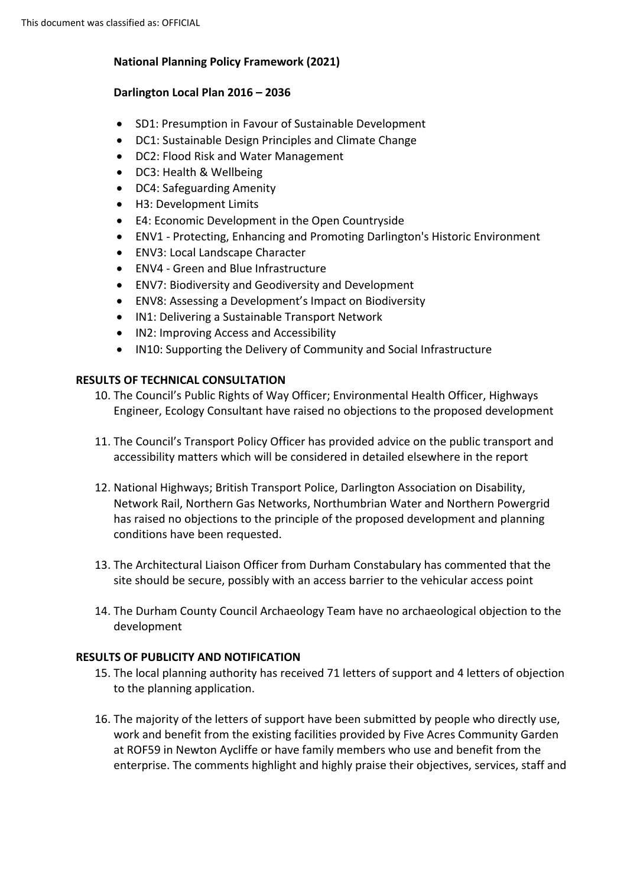# **National Planning Policy Framework (2021)**

# **Darlington Local Plan 2016 – 2036**

- SD1: Presumption in Favour of Sustainable Development
- DC1: Sustainable Design Principles and Climate Change
- DC2: Flood Risk and Water Management
- DC3: Health & Wellbeing
- DC4: Safeguarding Amenity
- H3: Development Limits
- E4: Economic Development in the Open Countryside
- ENV1 Protecting, Enhancing and Promoting Darlington's Historic Environment
- ENV3: Local Landscape Character
- ENV4 Green and Blue Infrastructure
- ENV7: Biodiversity and Geodiversity and Development
- ENV8: Assessing a Development's Impact on Biodiversity
- IN1: Delivering a Sustainable Transport Network
- IN2: Improving Access and Accessibility
- IN10: Supporting the Delivery of Community and Social Infrastructure

# **RESULTS OF TECHNICAL CONSULTATION**

- 10. The Council's Public Rights of Way Officer; Environmental Health Officer, Highways Engineer, Ecology Consultant have raised no objections to the proposed development
- 11. The Council's Transport Policy Officer has provided advice on the public transport and accessibility matters which will be considered in detailed elsewhere in the report
- 12. National Highways; British Transport Police, Darlington Association on Disability, Network Rail, Northern Gas Networks, Northumbrian Water and Northern Powergrid has raised no objections to the principle of the proposed development and planning conditions have been requested.
- 13. The Architectural Liaison Officer from Durham Constabulary has commented that the site should be secure, possibly with an access barrier to the vehicular access point
- 14. The Durham County Council Archaeology Team have no archaeological objection to the development

# **RESULTS OF PUBLICITY AND NOTIFICATION**

- 15. The local planning authority has received 71 letters of support and 4 letters of objection to the planning application.
- 16. The majority of the letters of support have been submitted by people who directly use, work and benefit from the existing facilities provided by Five Acres Community Garden at ROF59 in Newton Aycliffe or have family members who use and benefit from the enterprise. The comments highlight and highly praise their objectives, services, staff and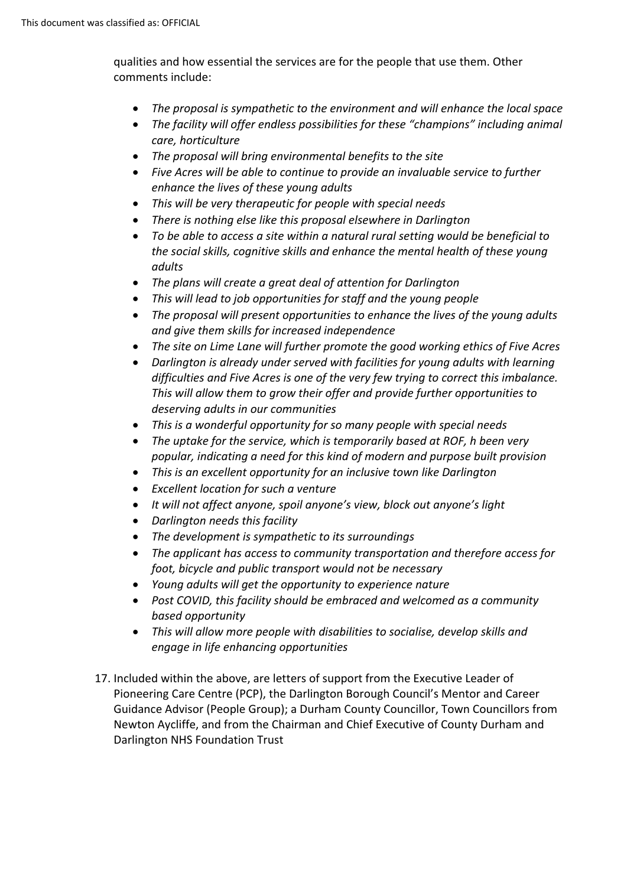qualities and how essential the services are for the people that use them. Other comments include:

- *The proposal is sympathetic to the environment and will enhance the local space*
- *The facility will offer endless possibilities for these "champions" including animal care, horticulture*
- *The proposal will bring environmental benefits to the site*
- *Five Acres will be able to continue to provide an invaluable service to further enhance the lives of these young adults*
- *This will be very therapeutic for people with special needs*
- *There is nothing else like this proposal elsewhere in Darlington*
- *To be able to access a site within a natural rural setting would be beneficial to the social skills, cognitive skills and enhance the mental health of these young adults*
- *The plans will create a great deal of attention for Darlington*
- *This will lead to job opportunities for staff and the young people*
- *The proposal will present opportunities to enhance the lives of the young adults and give them skills for increased independence*
- *The site on Lime Lane will further promote the good working ethics of Five Acres*
- *Darlington is already under served with facilities for young adults with learning difficulties and Five Acres is one of the very few trying to correct this imbalance. This will allow them to grow their offer and provide further opportunities to deserving adults in our communities*
- *This is a wonderful opportunity for so many people with special needs*
- *The uptake for the service, which is temporarily based at ROF, h been very popular, indicating a need for this kind of modern and purpose built provision*
- *This is an excellent opportunity for an inclusive town like Darlington*
- *Excellent location for such a venture*
- *It will not affect anyone, spoil anyone's view, block out anyone's light*
- *Darlington needs this facility*
- *The development is sympathetic to its surroundings*
- *The applicant has access to community transportation and therefore access for foot, bicycle and public transport would not be necessary*
- *Young adults will get the opportunity to experience nature*
- *Post COVID, this facility should be embraced and welcomed as a community based opportunity*
- *This will allow more people with disabilities to socialise, develop skills and engage in life enhancing opportunities*
- 17. Included within the above, are letters of support from the Executive Leader of Pioneering Care Centre (PCP), the Darlington Borough Council's Mentor and Career Guidance Advisor (People Group); a Durham County Councillor, Town Councillors from Newton Aycliffe, and from the Chairman and Chief Executive of County Durham and Darlington NHS Foundation Trust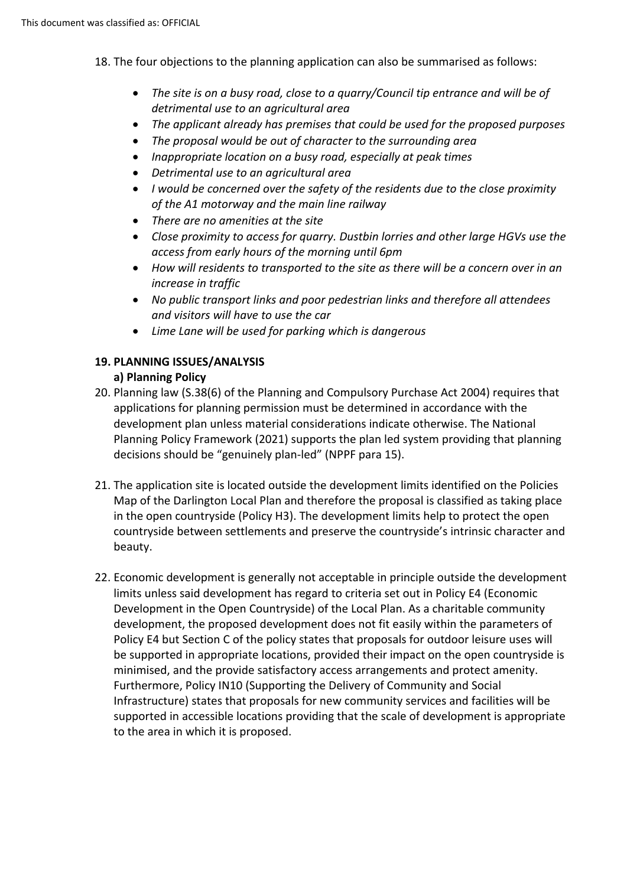- 18. The four objections to the planning application can also be summarised as follows:
	- *The site is on a busy road, close to a quarry/Council tip entrance and will be of detrimental use to an agricultural area*
	- *The applicant already has premises that could be used for the proposed purposes*
	- *The proposal would be out of character to the surrounding area*
	- *Inappropriate location on a busy road, especially at peak times*
	- *Detrimental use to an agricultural area*
	- *I would be concerned over the safety of the residents due to the close proximity of the A1 motorway and the main line railway*
	- *There are no amenities at the site*
	- *Close proximity to access for quarry. Dustbin lorries and other large HGVs use the access from early hours of the morning until 6pm*
	- *How will residents to transported to the site as there will be a concern over in an increase in traffic*
	- *No public transport links and poor pedestrian links and therefore all attendees and visitors will have to use the car*
	- *Lime Lane will be used for parking which is dangerous*

# **19. PLANNING ISSUES/ANALYSIS**

# **a) Planning Policy**

- 20. Planning law (S.38(6) of the Planning and Compulsory Purchase Act 2004) requires that applications for planning permission must be determined in accordance with the development plan unless material considerations indicate otherwise. The National Planning Policy Framework (2021) supports the plan led system providing that planning decisions should be "genuinely plan-led" (NPPF para 15).
- 21. The application site is located outside the development limits identified on the Policies Map of the Darlington Local Plan and therefore the proposal is classified as taking place in the open countryside (Policy H3). The development limits help to protect the open countryside between settlements and preserve the countryside's intrinsic character and beauty.
- 22. Economic development is generally not acceptable in principle outside the development limits unless said development has regard to criteria set out in Policy E4 (Economic Development in the Open Countryside) of the Local Plan. As a charitable community development, the proposed development does not fit easily within the parameters of Policy E4 but Section C of the policy states that proposals for outdoor leisure uses will be supported in appropriate locations, provided their impact on the open countryside is minimised, and the provide satisfactory access arrangements and protect amenity. Furthermore, Policy IN10 (Supporting the Delivery of Community and Social Infrastructure) states that proposals for new community services and facilities will be supported in accessible locations providing that the scale of development is appropriate to the area in which it is proposed.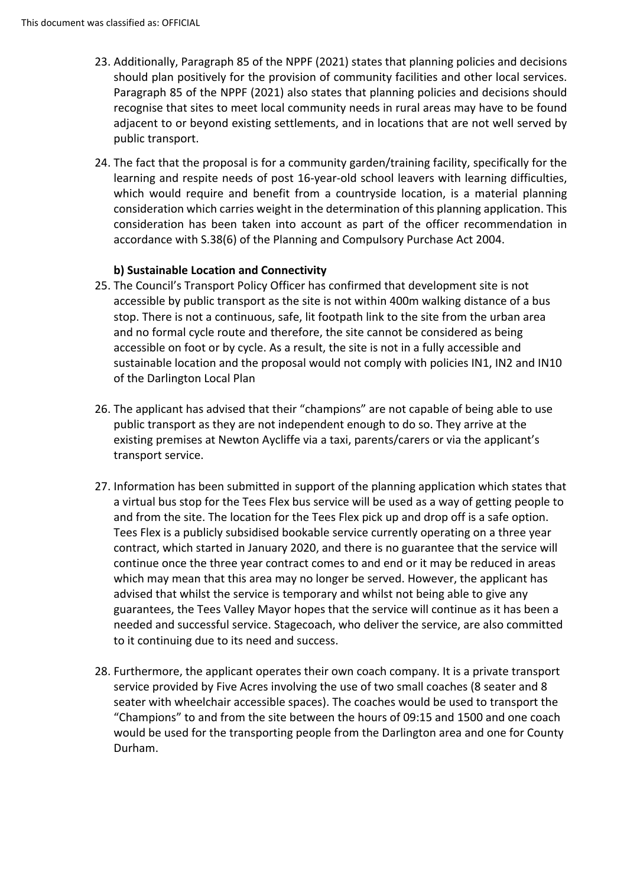- 23. Additionally, Paragraph 85 of the NPPF (2021) states that planning policies and decisions should plan positively for the provision of community facilities and other local services. Paragraph 85 of the NPPF (2021) also states that planning policies and decisions should recognise that sites to meet local community needs in rural areas may have to be found adjacent to or beyond existing settlements, and in locations that are not well served by public transport.
- 24. The fact that the proposal is for a community garden/training facility, specifically for the learning and respite needs of post 16-year-old school leavers with learning difficulties, which would require and benefit from a countryside location, is a material planning consideration which carries weight in the determination of this planning application. This consideration has been taken into account as part of the officer recommendation in accordance with S.38(6) of the Planning and Compulsory Purchase Act 2004.

# **b) Sustainable Location and Connectivity**

- 25. The Council's Transport Policy Officer has confirmed that development site is not accessible by public transport as the site is not within 400m walking distance of a bus stop. There is not a continuous, safe, lit footpath link to the site from the urban area and no formal cycle route and therefore, the site cannot be considered as being accessible on foot or by cycle. As a result, the site is not in a fully accessible and sustainable location and the proposal would not comply with policies IN1, IN2 and IN10 of the Darlington Local Plan
- 26. The applicant has advised that their "champions" are not capable of being able to use public transport as they are not independent enough to do so. They arrive at the existing premises at Newton Aycliffe via a taxi, parents/carers or via the applicant's transport service.
- 27. Information has been submitted in support of the planning application which states that a virtual bus stop for the Tees Flex bus service will be used as a way of getting people to and from the site. The location for the Tees Flex pick up and drop off is a safe option. Tees Flex is a publicly subsidised bookable service currently operating on a three year contract, which started in January 2020, and there is no guarantee that the service will continue once the three year contract comes to and end or it may be reduced in areas which may mean that this area may no longer be served. However, the applicant has advised that whilst the service is temporary and whilst not being able to give any guarantees, the Tees Valley Mayor hopes that the service will continue as it has been a needed and successful service. Stagecoach, who deliver the service, are also committed to it continuing due to its need and success.
- 28. Furthermore, the applicant operates their own coach company. It is a private transport service provided by Five Acres involving the use of two small coaches (8 seater and 8 seater with wheelchair accessible spaces). The coaches would be used to transport the "Champions" to and from the site between the hours of 09:15 and 1500 and one coach would be used for the transporting people from the Darlington area and one for County Durham.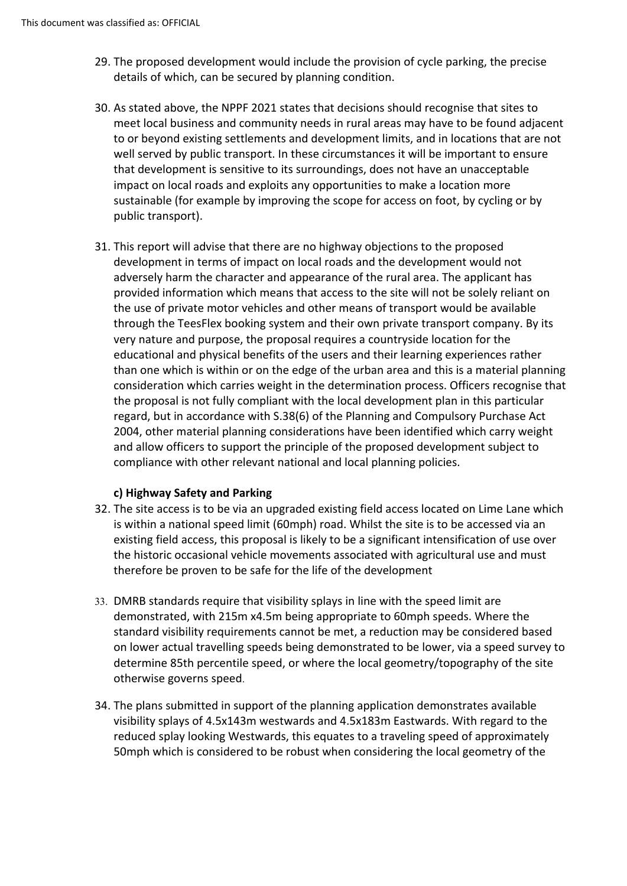- 29. The proposed development would include the provision of cycle parking, the precise details of which, can be secured by planning condition.
- 30. As stated above, the NPPF 2021 states that decisions should recognise that sites to meet local business and community needs in rural areas may have to be found adjacent to or beyond existing settlements and development limits, and in locations that are not well served by public transport. In these circumstances it will be important to ensure that development is sensitive to its surroundings, does not have an unacceptable impact on local roads and exploits any opportunities to make a location more sustainable (for example by improving the scope for access on foot, by cycling or by public transport).
- 31. This report will advise that there are no highway objections to the proposed development in terms of impact on local roads and the development would not adversely harm the character and appearance of the rural area. The applicant has provided information which means that access to the site will not be solely reliant on the use of private motor vehicles and other means of transport would be available through the TeesFlex booking system and their own private transport company. By its very nature and purpose, the proposal requires a countryside location for the educational and physical benefits of the users and their learning experiences rather than one which is within or on the edge of the urban area and this is a material planning consideration which carries weight in the determination process. Officers recognise that the proposal is not fully compliant with the local development plan in this particular regard, but in accordance with S.38(6) of the Planning and Compulsory Purchase Act 2004, other material planning considerations have been identified which carry weight and allow officers to support the principle of the proposed development subject to compliance with other relevant national and local planning policies.

# **c) Highway Safety and Parking**

- 32. The site access is to be via an upgraded existing field access located on Lime Lane which is within a national speed limit (60mph) road. Whilst the site is to be accessed via an existing field access, this proposal is likely to be a significant intensification of use over the historic occasional vehicle movements associated with agricultural use and must therefore be proven to be safe for the life of the development
- 33. DMRB standards require that visibility splays in line with the speed limit are demonstrated, with 215m x4.5m being appropriate to 60mph speeds. Where the standard visibility requirements cannot be met, a reduction may be considered based on lower actual travelling speeds being demonstrated to be lower, via a speed survey to determine 85th percentile speed, or where the local geometry/topography of the site otherwise governs speed.
- 34. The plans submitted in support of the planning application demonstrates available visibility splays of 4.5x143m westwards and 4.5x183m Eastwards. With regard to the reduced splay looking Westwards, this equates to a traveling speed of approximately 50mph which is considered to be robust when considering the local geometry of the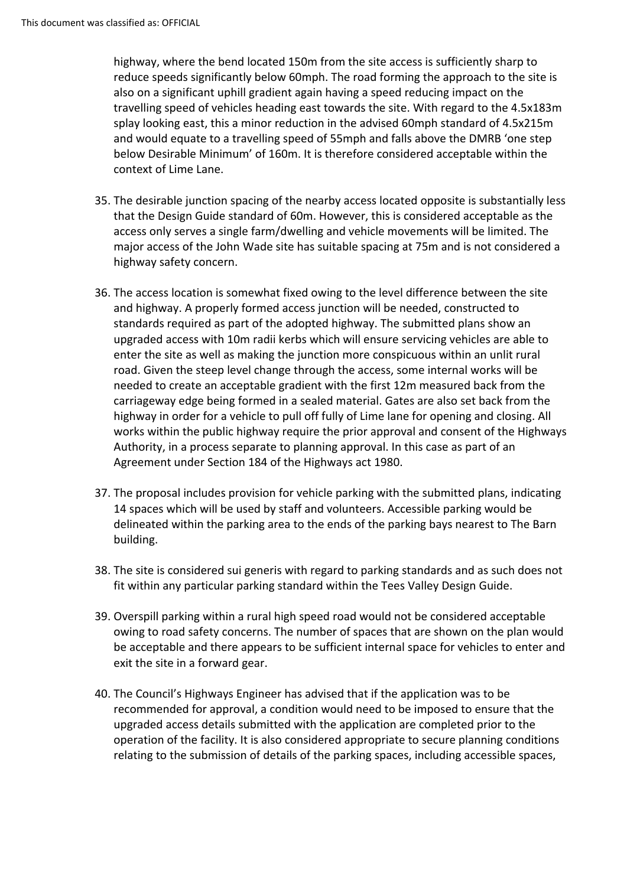highway, where the bend located 150m from the site access is sufficiently sharp to reduce speeds significantly below 60mph. The road forming the approach to the site is also on a significant uphill gradient again having a speed reducing impact on the travelling speed of vehicles heading east towards the site. With regard to the 4.5x183m splay looking east, this a minor reduction in the advised 60mph standard of 4.5x215m and would equate to a travelling speed of 55mph and falls above the DMRB 'one step below Desirable Minimum' of 160m. It is therefore considered acceptable within the context of Lime Lane.

- 35. The desirable junction spacing of the nearby access located opposite is substantially less that the Design Guide standard of 60m. However, this is considered acceptable as the access only serves a single farm/dwelling and vehicle movements will be limited. The major access of the John Wade site has suitable spacing at 75m and is not considered a highway safety concern.
- 36. The access location is somewhat fixed owing to the level difference between the site and highway. A properly formed access junction will be needed, constructed to standards required as part of the adopted highway. The submitted plans show an upgraded access with 10m radii kerbs which will ensure servicing vehicles are able to enter the site as well as making the junction more conspicuous within an unlit rural road. Given the steep level change through the access, some internal works will be needed to create an acceptable gradient with the first 12m measured back from the carriageway edge being formed in a sealed material. Gates are also set back from the highway in order for a vehicle to pull off fully of Lime lane for opening and closing. All works within the public highway require the prior approval and consent of the Highways Authority, in a process separate to planning approval. In this case as part of an Agreement under Section 184 of the Highways act 1980.
- 37. The proposal includes provision for vehicle parking with the submitted plans, indicating 14 spaces which will be used by staff and volunteers. Accessible parking would be delineated within the parking area to the ends of the parking bays nearest to The Barn building.
- 38. The site is considered sui generis with regard to parking standards and as such does not fit within any particular parking standard within the Tees Valley Design Guide.
- 39. Overspill parking within a rural high speed road would not be considered acceptable owing to road safety concerns. The number of spaces that are shown on the plan would be acceptable and there appears to be sufficient internal space for vehicles to enter and exit the site in a forward gear.
- 40. The Council's Highways Engineer has advised that if the application was to be recommended for approval, a condition would need to be imposed to ensure that the upgraded access details submitted with the application are completed prior to the operation of the facility. It is also considered appropriate to secure planning conditions relating to the submission of details of the parking spaces, including accessible spaces,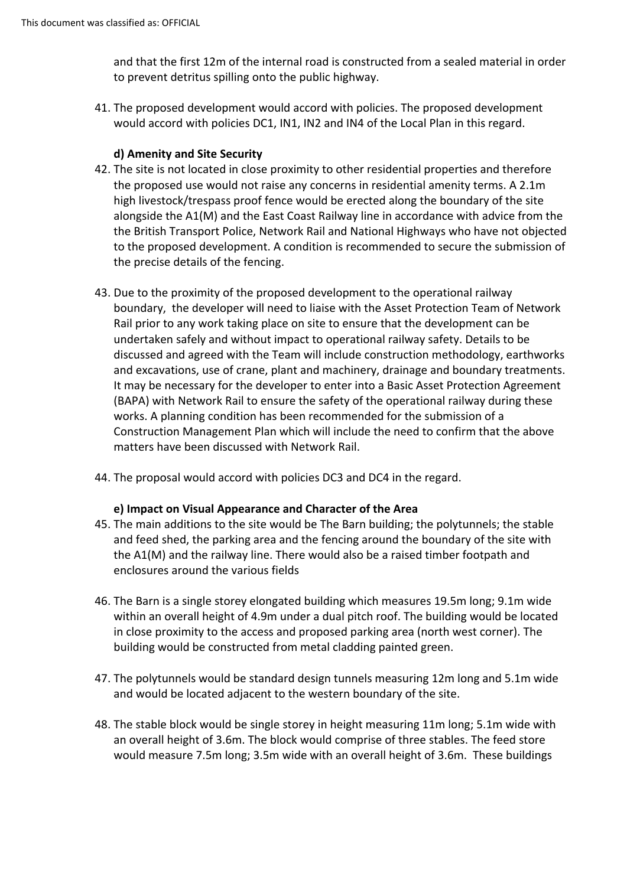and that the first 12m of the internal road is constructed from a sealed material in order to prevent detritus spilling onto the public highway.

41. The proposed development would accord with policies. The proposed development would accord with policies DC1, IN1, IN2 and IN4 of the Local Plan in this regard.

## **d) Amenity and Site Security**

- 42. The site is not located in close proximity to other residential properties and therefore the proposed use would not raise any concerns in residential amenity terms. A 2.1m high livestock/trespass proof fence would be erected along the boundary of the site alongside the A1(M) and the East Coast Railway line in accordance with advice from the the British Transport Police, Network Rail and National Highways who have not objected to the proposed development. A condition is recommended to secure the submission of the precise details of the fencing.
- 43. Due to the proximity of the proposed development to the operational railway boundary, the developer will need to liaise with the Asset Protection Team of Network Rail prior to any work taking place on site to ensure that the development can be undertaken safely and without impact to operational railway safety. Details to be discussed and agreed with the Team will include construction methodology, earthworks and excavations, use of crane, plant and machinery, drainage and boundary treatments. It may be necessary for the developer to enter into a Basic Asset Protection Agreement (BAPA) with Network Rail to ensure the safety of the operational railway during these works. A planning condition has been recommended for the submission of a Construction Management Plan which will include the need to confirm that the above matters have been discussed with Network Rail.
- 44. The proposal would accord with policies DC3 and DC4 in the regard.

#### **e) Impact on Visual Appearance and Character of the Area**

- 45. The main additions to the site would be The Barn building; the polytunnels; the stable and feed shed, the parking area and the fencing around the boundary of the site with the A1(M) and the railway line. There would also be a raised timber footpath and enclosures around the various fields
- 46. The Barn is a single storey elongated building which measures 19.5m long; 9.1m wide within an overall height of 4.9m under a dual pitch roof. The building would be located in close proximity to the access and proposed parking area (north west corner). The building would be constructed from metal cladding painted green.
- 47. The polytunnels would be standard design tunnels measuring 12m long and 5.1m wide and would be located adjacent to the western boundary of the site.
- 48. The stable block would be single storey in height measuring 11m long; 5.1m wide with an overall height of 3.6m. The block would comprise of three stables. The feed store would measure 7.5m long; 3.5m wide with an overall height of 3.6m. These buildings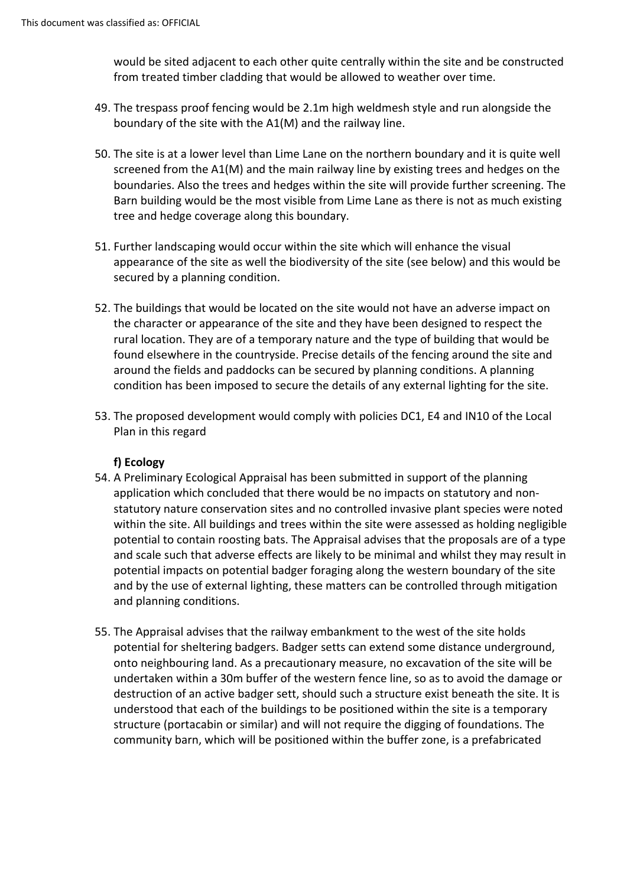would be sited adjacent to each other quite centrally within the site and be constructed from treated timber cladding that would be allowed to weather over time.

- 49. The trespass proof fencing would be 2.1m high weldmesh style and run alongside the boundary of the site with the A1(M) and the railway line.
- 50. The site is at a lower level than Lime Lane on the northern boundary and it is quite well screened from the A1(M) and the main railway line by existing trees and hedges on the boundaries. Also the trees and hedges within the site will provide further screening. The Barn building would be the most visible from Lime Lane as there is not as much existing tree and hedge coverage along this boundary.
- 51. Further landscaping would occur within the site which will enhance the visual appearance of the site as well the biodiversity of the site (see below) and this would be secured by a planning condition.
- 52. The buildings that would be located on the site would not have an adverse impact on the character or appearance of the site and they have been designed to respect the rural location. They are of a temporary nature and the type of building that would be found elsewhere in the countryside. Precise details of the fencing around the site and around the fields and paddocks can be secured by planning conditions. A planning condition has been imposed to secure the details of any external lighting for the site.
- 53. The proposed development would comply with policies DC1, E4 and IN10 of the Local Plan in this regard

#### **f) Ecology**

- 54. A Preliminary Ecological Appraisal has been submitted in support of the planning application which concluded that there would be no impacts on statutory and nonstatutory nature conservation sites and no controlled invasive plant species were noted within the site. All buildings and trees within the site were assessed as holding negligible potential to contain roosting bats. The Appraisal advises that the proposals are of a type and scale such that adverse effects are likely to be minimal and whilst they may result in potential impacts on potential badger foraging along the western boundary of the site and by the use of external lighting, these matters can be controlled through mitigation and planning conditions.
- 55. The Appraisal advises that the railway embankment to the west of the site holds potential for sheltering badgers. Badger setts can extend some distance underground, onto neighbouring land. As a precautionary measure, no excavation of the site will be undertaken within a 30m buffer of the western fence line, so as to avoid the damage or destruction of an active badger sett, should such a structure exist beneath the site. It is understood that each of the buildings to be positioned within the site is a temporary structure (portacabin or similar) and will not require the digging of foundations. The community barn, which will be positioned within the buffer zone, is a prefabricated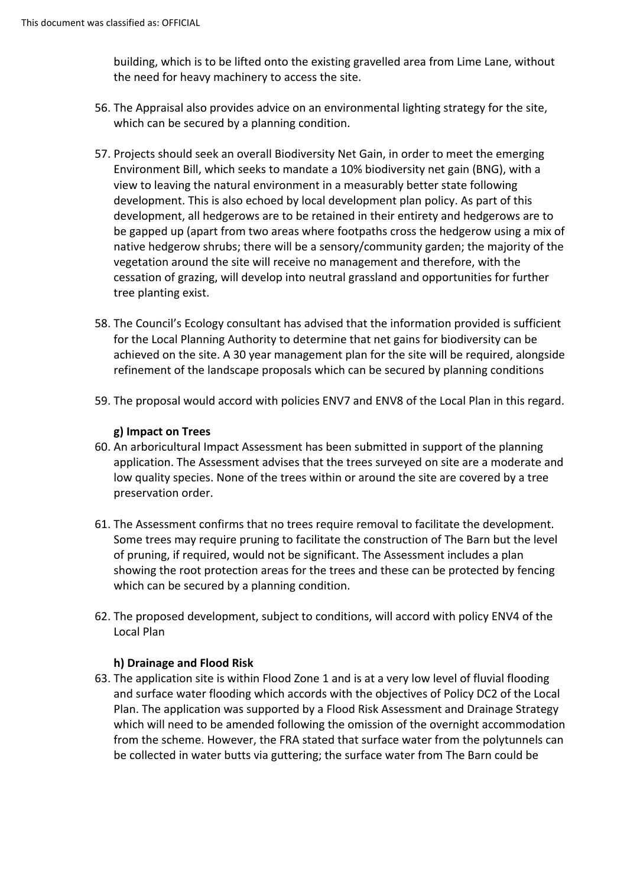building, which is to be lifted onto the existing gravelled area from Lime Lane, without the need for heavy machinery to access the site.

- 56. The Appraisal also provides advice on an environmental lighting strategy for the site, which can be secured by a planning condition.
- 57. Projects should seek an overall Biodiversity Net Gain, in order to meet the emerging Environment Bill, which seeks to mandate a 10% biodiversity net gain (BNG), with a view to leaving the natural environment in a measurably better state following development. This is also echoed by local development plan policy. As part of this development, all hedgerows are to be retained in their entirety and hedgerows are to be gapped up (apart from two areas where footpaths cross the hedgerow using a mix of native hedgerow shrubs; there will be a sensory/community garden; the majority of the vegetation around the site will receive no management and therefore, with the cessation of grazing, will develop into neutral grassland and opportunities for further tree planting exist.
- 58. The Council's Ecology consultant has advised that the information provided is sufficient for the Local Planning Authority to determine that net gains for biodiversity can be achieved on the site. A 30 year management plan for the site will be required, alongside refinement of the landscape proposals which can be secured by planning conditions
- 59. The proposal would accord with policies ENV7 and ENV8 of the Local Plan in this regard.

# **g) Impact on Trees**

- 60. An arboricultural Impact Assessment has been submitted in support of the planning application. The Assessment advises that the trees surveyed on site are a moderate and low quality species. None of the trees within or around the site are covered by a tree preservation order.
- 61. The Assessment confirms that no trees require removal to facilitate the development. Some trees may require pruning to facilitate the construction of The Barn but the level of pruning, if required, would not be significant. The Assessment includes a plan showing the root protection areas for the trees and these can be protected by fencing which can be secured by a planning condition.
- 62. The proposed development, subject to conditions, will accord with policy ENV4 of the Local Plan

#### **h) Drainage and Flood Risk**

63. The application site is within Flood Zone 1 and is at a very low level of fluvial flooding and surface water flooding which accords with the objectives of Policy DC2 of the Local Plan. The application was supported by a Flood Risk Assessment and Drainage Strategy which will need to be amended following the omission of the overnight accommodation from the scheme. However, the FRA stated that surface water from the polytunnels can be collected in water butts via guttering; the surface water from The Barn could be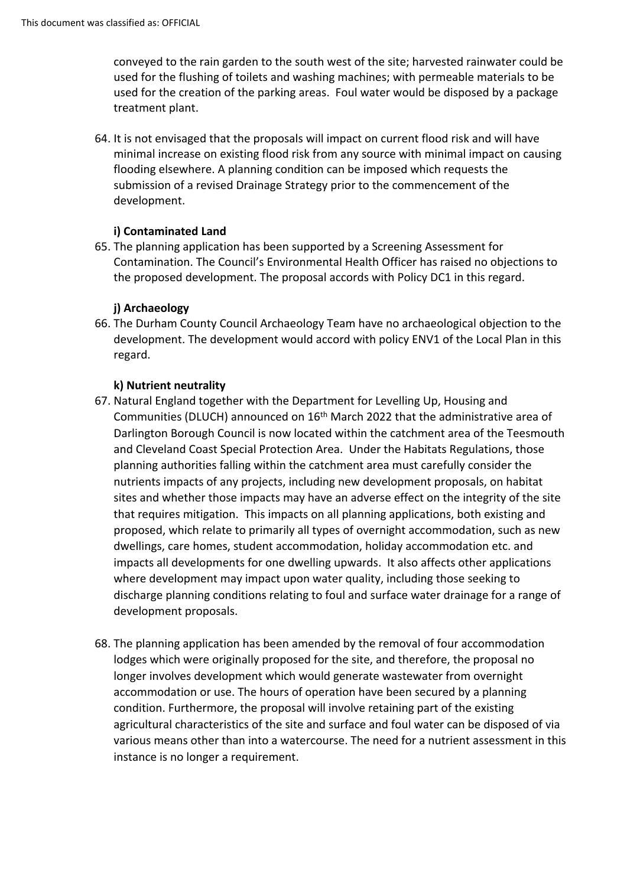conveyed to the rain garden to the south west of the site; harvested rainwater could be used for the flushing of toilets and washing machines; with permeable materials to be used for the creation of the parking areas. Foul water would be disposed by a package treatment plant.

64. It is not envisaged that the proposals will impact on current flood risk and will have minimal increase on existing flood risk from any source with minimal impact on causing flooding elsewhere. A planning condition can be imposed which requests the submission of a revised Drainage Strategy prior to the commencement of the development.

# **i) Contaminated Land**

65. The planning application has been supported by a Screening Assessment for Contamination. The Council's Environmental Health Officer has raised no objections to the proposed development. The proposal accords with Policy DC1 in this regard.

# **j) Archaeology**

66. The Durham County Council Archaeology Team have no archaeological objection to the development. The development would accord with policy ENV1 of the Local Plan in this regard.

#### **k) Nutrient neutrality**

- 67. Natural England together with the Department for Levelling Up, Housing and Communities (DLUCH) announced on 16th March 2022 that the administrative area of Darlington Borough Council is now located within the catchment area of the Teesmouth and Cleveland Coast Special Protection Area. Under the Habitats Regulations, those planning authorities falling within the catchment area must carefully consider the nutrients impacts of any projects, including new development proposals, on habitat sites and whether those impacts may have an adverse effect on the integrity of the site that requires mitigation. This impacts on all planning applications, both existing and proposed, which relate to primarily all types of overnight accommodation, such as new dwellings, care homes, student accommodation, holiday accommodation etc. and impacts all developments for one dwelling upwards. It also affects other applications where development may impact upon water quality, including those seeking to discharge planning conditions relating to foul and surface water drainage for a range of development proposals.
- 68. The planning application has been amended by the removal of four accommodation lodges which were originally proposed for the site, and therefore, the proposal no longer involves development which would generate wastewater from overnight accommodation or use. The hours of operation have been secured by a planning condition. Furthermore, the proposal will involve retaining part of the existing agricultural characteristics of the site and surface and foul water can be disposed of via various means other than into a watercourse. The need for a nutrient assessment in this instance is no longer a requirement.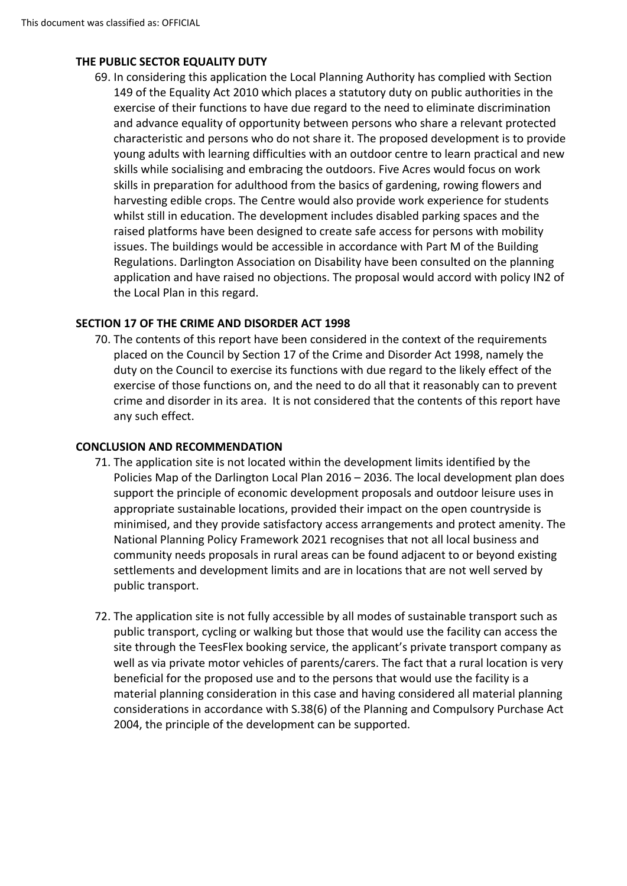# **THE PUBLIC SECTOR EQUALITY DUTY**

69. In considering this application the Local Planning Authority has complied with Section 149 of the Equality Act 2010 which places a statutory duty on public authorities in the exercise of their functions to have due regard to the need to eliminate discrimination and advance equality of opportunity between persons who share a relevant protected characteristic and persons who do not share it. The proposed development is to provide young adults with learning difficulties with an outdoor centre to learn practical and new skills while socialising and embracing the outdoors. Five Acres would focus on work skills in preparation for adulthood from the basics of gardening, rowing flowers and harvesting edible crops. The Centre would also provide work experience for students whilst still in education. The development includes disabled parking spaces and the raised platforms have been designed to create safe access for persons with mobility issues. The buildings would be accessible in accordance with Part M of the Building Regulations. Darlington Association on Disability have been consulted on the planning application and have raised no objections. The proposal would accord with policy IN2 of the Local Plan in this regard.

# **SECTION 17 OF THE CRIME AND DISORDER ACT 1998**

70. The contents of this report have been considered in the context of the requirements placed on the Council by Section 17 of the Crime and Disorder Act 1998, namely the duty on the Council to exercise its functions with due regard to the likely effect of the exercise of those functions on, and the need to do all that it reasonably can to prevent crime and disorder in its area. It is not considered that the contents of this report have any such effect.

#### **CONCLUSION AND RECOMMENDATION**

- 71. The application site is not located within the development limits identified by the Policies Map of the Darlington Local Plan 2016 – 2036. The local development plan does support the principle of economic development proposals and outdoor leisure uses in appropriate sustainable locations, provided their impact on the open countryside is minimised, and they provide satisfactory access arrangements and protect amenity. The National Planning Policy Framework 2021 recognises that not all local business and community needs proposals in rural areas can be found adjacent to or beyond existing settlements and development limits and are in locations that are not well served by public transport.
- 72. The application site is not fully accessible by all modes of sustainable transport such as public transport, cycling or walking but those that would use the facility can access the site through the TeesFlex booking service, the applicant's private transport company as well as via private motor vehicles of parents/carers. The fact that a rural location is very beneficial for the proposed use and to the persons that would use the facility is a material planning consideration in this case and having considered all material planning considerations in accordance with S.38(6) of the Planning and Compulsory Purchase Act 2004, the principle of the development can be supported.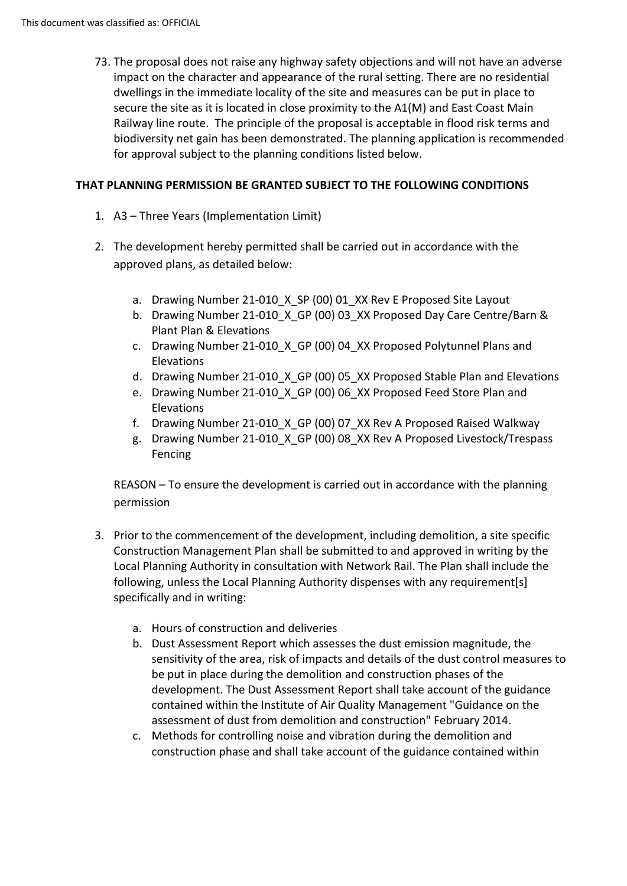73. The proposal does not raise any highway safety objections and will not have an adverse impact on the character and appearance of the rural setting. There are no residential dwellings in the immediate locality of the site and measures can be put in place to secure the site as it is located in close proximity to the A1(M) and East Coast Main Railway line route. The principle of the proposal is acceptable in flood risk terms and biodiversity net gain has been demonstrated. The planning application is recommended for approval subject to the planning conditions listed below.

## **THAT PLANNING PERMISSION BE GRANTED SUBJECT TO THE FOLLOWING CONDITIONS**

- 1. A3 Three Years (Implementation Limit)
- 2. The development hereby permitted shall be carried out in accordance with the approved plans, as detailed below:
	- a. Drawing Number 21-010 X SP (00) 01 XX Rev E Proposed Site Layout
	- b. Drawing Number 21-010 X GP (00) 03 XX Proposed Day Care Centre/Barn & Plant Plan & Elevations
	- c. Drawing Number 21-010 X GP (00) 04 XX Proposed Polytunnel Plans and Elevations
	- d. Drawing Number 21-010 X GP (00) 05 XX Proposed Stable Plan and Elevations
	- e. Drawing Number 21-010\_X\_GP (00) 06\_XX Proposed Feed Store Plan and Elevations
	- f. Drawing Number 21-010\_X\_GP (00) 07\_XX Rev A Proposed Raised Walkway
	- g. Drawing Number 21-010\_X\_GP (00) 08\_XX Rev A Proposed Livestock/Trespass Fencing

REASON – To ensure the development is carried out in accordance with the planning permission

- 3. Prior to the commencement of the development, including demolition, a site specific Construction Management Plan shall be submitted to and approved in writing by the Local Planning Authority in consultation with Network Rail. The Plan shall include the following, unless the Local Planning Authority dispenses with any requirement[s] specifically and in writing:
	- a. Hours of construction and deliveries
	- b. Dust Assessment Report which assesses the dust emission magnitude, the sensitivity of the area, risk of impacts and details of the dust control measures to be put in place during the demolition and construction phases of the development. The Dust Assessment Report shall take account of the guidance contained within the Institute of Air Quality Management "Guidance on the assessment of dust from demolition and construction" February 2014.
	- c. Methods for controlling noise and vibration during the demolition and construction phase and shall take account of the guidance contained within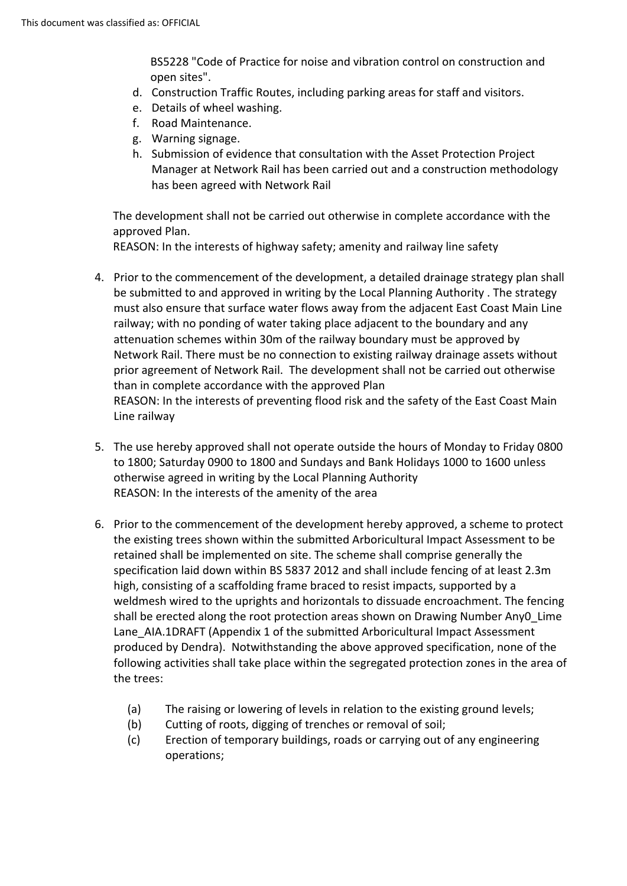BS5228 "Code of Practice for noise and vibration control on construction and open sites".

- d. Construction Traffic Routes, including parking areas for staff and visitors.
- e. Details of wheel washing.
- f. Road Maintenance.
- g. Warning signage.
- h. Submission of evidence that consultation with the Asset Protection Project Manager at Network Rail has been carried out and a construction methodology has been agreed with Network Rail

The development shall not be carried out otherwise in complete accordance with the approved Plan.

REASON: In the interests of highway safety; amenity and railway line safety

- 4. Prior to the commencement of the development, a detailed drainage strategy plan shall be submitted to and approved in writing by the Local Planning Authority . The strategy must also ensure that surface water flows away from the adjacent East Coast Main Line railway; with no ponding of water taking place adjacent to the boundary and any attenuation schemes within 30m of the railway boundary must be approved by Network Rail. There must be no connection to existing railway drainage assets without prior agreement of Network Rail. The development shall not be carried out otherwise than in complete accordance with the approved Plan REASON: In the interests of preventing flood risk and the safety of the East Coast Main Line railway
- 5. The use hereby approved shall not operate outside the hours of Monday to Friday 0800 to 1800; Saturday 0900 to 1800 and Sundays and Bank Holidays 1000 to 1600 unless otherwise agreed in writing by the Local Planning Authority REASON: In the interests of the amenity of the area
- 6. Prior to the commencement of the development hereby approved, a scheme to protect the existing trees shown within the submitted Arboricultural Impact Assessment to be retained shall be implemented on site. The scheme shall comprise generally the specification laid down within BS 5837 2012 and shall include fencing of at least 2.3m high, consisting of a scaffolding frame braced to resist impacts, supported by a weldmesh wired to the uprights and horizontals to dissuade encroachment. The fencing shall be erected along the root protection areas shown on Drawing Number Any0\_Lime Lane\_AIA.1DRAFT (Appendix 1 of the submitted Arboricultural Impact Assessment produced by Dendra). Notwithstanding the above approved specification, none of the following activities shall take place within the segregated protection zones in the area of the trees:
	- (a) The raising or lowering of levels in relation to the existing ground levels;
	- (b) Cutting of roots, digging of trenches or removal of soil;
	- (c) Erection of temporary buildings, roads or carrying out of any engineering operations;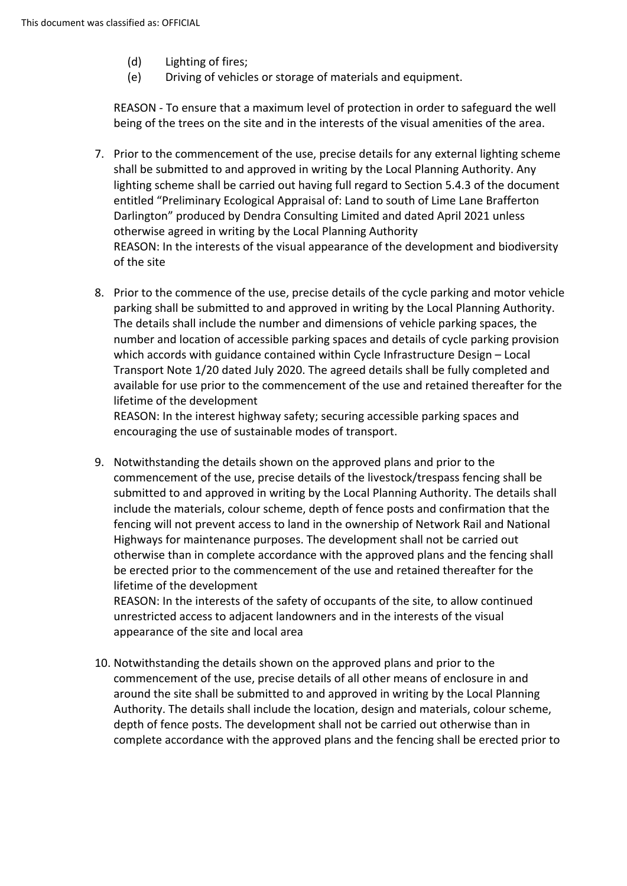- (d) Lighting of fires;
- (e) Driving of vehicles or storage of materials and equipment.

REASON - To ensure that a maximum level of protection in order to safeguard the well being of the trees on the site and in the interests of the visual amenities of the area.

- 7. Prior to the commencement of the use, precise details for any external lighting scheme shall be submitted to and approved in writing by the Local Planning Authority. Any lighting scheme shall be carried out having full regard to Section 5.4.3 of the document entitled "Preliminary Ecological Appraisal of: Land to south of Lime Lane Brafferton Darlington" produced by Dendra Consulting Limited and dated April 2021 unless otherwise agreed in writing by the Local Planning Authority REASON: In the interests of the visual appearance of the development and biodiversity of the site
- 8. Prior to the commence of the use, precise details of the cycle parking and motor vehicle parking shall be submitted to and approved in writing by the Local Planning Authority. The details shall include the number and dimensions of vehicle parking spaces, the number and location of accessible parking spaces and details of cycle parking provision which accords with guidance contained within Cycle Infrastructure Design – Local Transport Note 1/20 dated July 2020. The agreed details shall be fully completed and available for use prior to the commencement of the use and retained thereafter for the lifetime of the development

REASON: In the interest highway safety; securing accessible parking spaces and encouraging the use of sustainable modes of transport.

9. Notwithstanding the details shown on the approved plans and prior to the commencement of the use, precise details of the livestock/trespass fencing shall be submitted to and approved in writing by the Local Planning Authority. The details shall include the materials, colour scheme, depth of fence posts and confirmation that the fencing will not prevent access to land in the ownership of Network Rail and National Highways for maintenance purposes. The development shall not be carried out otherwise than in complete accordance with the approved plans and the fencing shall be erected prior to the commencement of the use and retained thereafter for the lifetime of the development

REASON: In the interests of the safety of occupants of the site, to allow continued unrestricted access to adjacent landowners and in the interests of the visual appearance of the site and local area

10. Notwithstanding the details shown on the approved plans and prior to the commencement of the use, precise details of all other means of enclosure in and around the site shall be submitted to and approved in writing by the Local Planning Authority. The details shall include the location, design and materials, colour scheme, depth of fence posts. The development shall not be carried out otherwise than in complete accordance with the approved plans and the fencing shall be erected prior to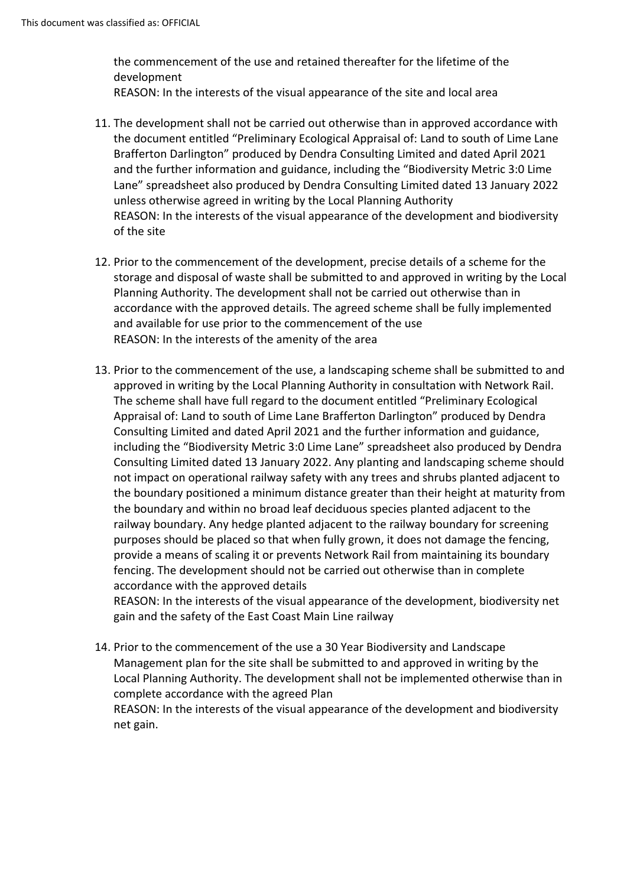the commencement of the use and retained thereafter for the lifetime of the development

- REASON: In the interests of the visual appearance of the site and local area
- 11. The development shall not be carried out otherwise than in approved accordance with the document entitled "Preliminary Ecological Appraisal of: Land to south of Lime Lane Brafferton Darlington" produced by Dendra Consulting Limited and dated April 2021 and the further information and guidance, including the "Biodiversity Metric 3:0 Lime Lane" spreadsheet also produced by Dendra Consulting Limited dated 13 January 2022 unless otherwise agreed in writing by the Local Planning Authority REASON: In the interests of the visual appearance of the development and biodiversity of the site
- 12. Prior to the commencement of the development, precise details of a scheme for the storage and disposal of waste shall be submitted to and approved in writing by the Local Planning Authority. The development shall not be carried out otherwise than in accordance with the approved details. The agreed scheme shall be fully implemented and available for use prior to the commencement of the use REASON: In the interests of the amenity of the area
- 13. Prior to the commencement of the use, a landscaping scheme shall be submitted to and approved in writing by the Local Planning Authority in consultation with Network Rail. The scheme shall have full regard to the document entitled "Preliminary Ecological Appraisal of: Land to south of Lime Lane Brafferton Darlington" produced by Dendra Consulting Limited and dated April 2021 and the further information and guidance, including the "Biodiversity Metric 3:0 Lime Lane" spreadsheet also produced by Dendra Consulting Limited dated 13 January 2022. Any planting and landscaping scheme should not impact on operational railway safety with any trees and shrubs planted adjacent to the boundary positioned a minimum distance greater than their height at maturity from the boundary and within no broad leaf deciduous species planted adjacent to the railway boundary. Any hedge planted adjacent to the railway boundary for screening purposes should be placed so that when fully grown, it does not damage the fencing, provide a means of scaling it or prevents Network Rail from maintaining its boundary fencing. The development should not be carried out otherwise than in complete accordance with the approved details

REASON: In the interests of the visual appearance of the development, biodiversity net gain and the safety of the East Coast Main Line railway

14. Prior to the commencement of the use a 30 Year Biodiversity and Landscape Management plan for the site shall be submitted to and approved in writing by the Local Planning Authority. The development shall not be implemented otherwise than in complete accordance with the agreed Plan REASON: In the interests of the visual appearance of the development and biodiversity net gain.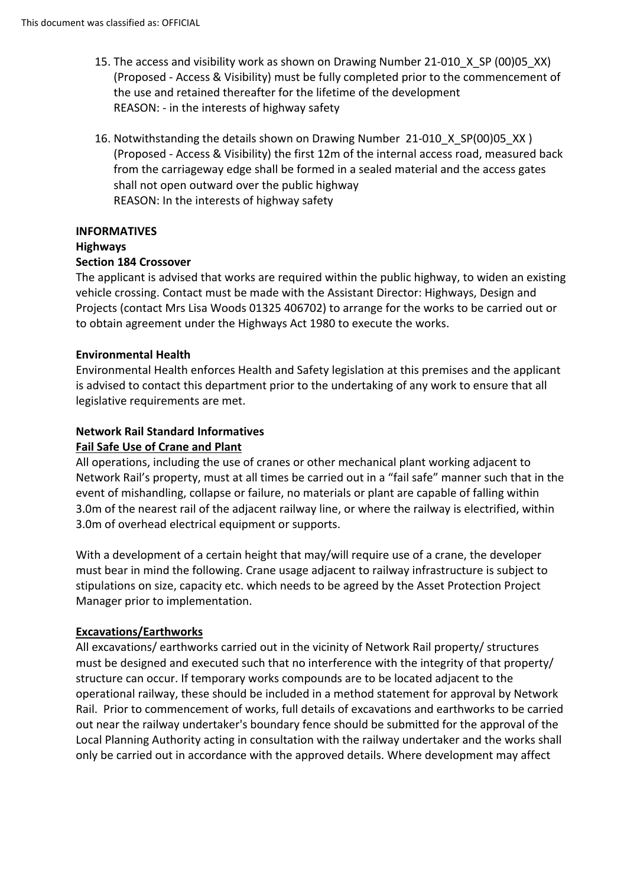- 15. The access and visibility work as shown on Drawing Number 21-010 X SP (00)05 XX) (Proposed - Access & Visibility) must be fully completed prior to the commencement of the use and retained thereafter for the lifetime of the development REASON: - in the interests of highway safety
- 16. Notwithstanding the details shown on Drawing Number 21-010 X SP(00)05 XX) (Proposed - Access & Visibility) the first 12m of the internal access road, measured back from the carriageway edge shall be formed in a sealed material and the access gates shall not open outward over the public highway REASON: In the interests of highway safety

# **INFORMATIVES**

# **Highways**

## **Section 184 Crossover**

The applicant is advised that works are required within the public highway, to widen an existing vehicle crossing. Contact must be made with the Assistant Director: Highways, Design and Projects (contact Mrs Lisa Woods 01325 406702) to arrange for the works to be carried out or to obtain agreement under the Highways Act 1980 to execute the works.

#### **Environmental Health**

Environmental Health enforces Health and Safety legislation at this premises and the applicant is advised to contact this department prior to the undertaking of any work to ensure that all legislative requirements are met.

# **Network Rail Standard Informatives**

#### **Fail Safe Use of Crane and Plant**

All operations, including the use of cranes or other mechanical plant working adjacent to Network Rail's property, must at all times be carried out in a "fail safe" manner such that in the event of mishandling, collapse or failure, no materials or plant are capable of falling within 3.0m of the nearest rail of the adjacent railway line, or where the railway is electrified, within 3.0m of overhead electrical equipment or supports.

With a development of a certain height that may/will require use of a crane, the developer must bear in mind the following. Crane usage adjacent to railway infrastructure is subject to stipulations on size, capacity etc. which needs to be agreed by the Asset Protection Project Manager prior to implementation.

#### **Excavations/Earthworks**

All excavations/ earthworks carried out in the vicinity of Network Rail property/ structures must be designed and executed such that no interference with the integrity of that property/ structure can occur. If temporary works compounds are to be located adjacent to the operational railway, these should be included in a method statement for approval by Network Rail. Prior to commencement of works, full details of excavations and earthworks to be carried out near the railway undertaker's boundary fence should be submitted for the approval of the Local Planning Authority acting in consultation with the railway undertaker and the works shall only be carried out in accordance with the approved details. Where development may affect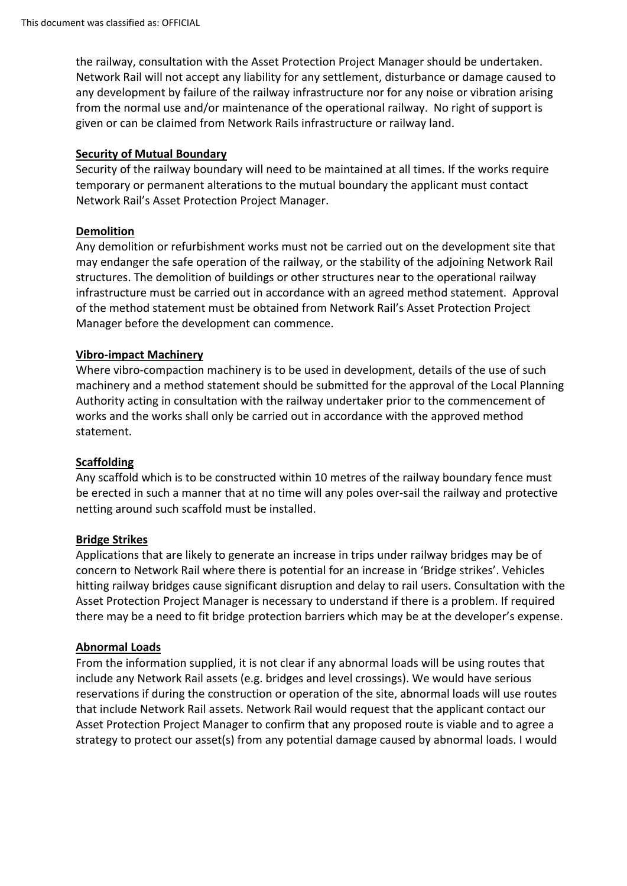the railway, consultation with the Asset Protection Project Manager should be undertaken. Network Rail will not accept any liability for any settlement, disturbance or damage caused to any development by failure of the railway infrastructure nor for any noise or vibration arising from the normal use and/or maintenance of the operational railway. No right of support is given or can be claimed from Network Rails infrastructure or railway land.

#### **Security of Mutual Boundary**

Security of the railway boundary will need to be maintained at all times. If the works require temporary or permanent alterations to the mutual boundary the applicant must contact Network Rail's Asset Protection Project Manager.

# **Demolition**

Any demolition or refurbishment works must not be carried out on the development site that may endanger the safe operation of the railway, or the stability of the adjoining Network Rail structures. The demolition of buildings or other structures near to the operational railway infrastructure must be carried out in accordance with an agreed method statement. Approval of the method statement must be obtained from Network Rail's Asset Protection Project Manager before the development can commence.

# **Vibro-impact Machinery**

Where vibro-compaction machinery is to be used in development, details of the use of such machinery and a method statement should be submitted for the approval of the Local Planning Authority acting in consultation with the railway undertaker prior to the commencement of works and the works shall only be carried out in accordance with the approved method statement.

#### **Scaffolding**

Any scaffold which is to be constructed within 10 metres of the railway boundary fence must be erected in such a manner that at no time will any poles over-sail the railway and protective netting around such scaffold must be installed.

#### **Bridge Strikes**

Applications that are likely to generate an increase in trips under railway bridges may be of concern to Network Rail where there is potential for an increase in 'Bridge strikes'. Vehicles hitting railway bridges cause significant disruption and delay to rail users. Consultation with the Asset Protection Project Manager is necessary to understand if there is a problem. If required there may be a need to fit bridge protection barriers which may be at the developer's expense.

#### **Abnormal Loads**

From the information supplied, it is not clear if any abnormal loads will be using routes that include any Network Rail assets (e.g. bridges and level crossings). We would have serious reservations if during the construction or operation of the site, abnormal loads will use routes that include Network Rail assets. Network Rail would request that the applicant contact our Asset Protection Project Manager to confirm that any proposed route is viable and to agree a strategy to protect our asset(s) from any potential damage caused by abnormal loads. I would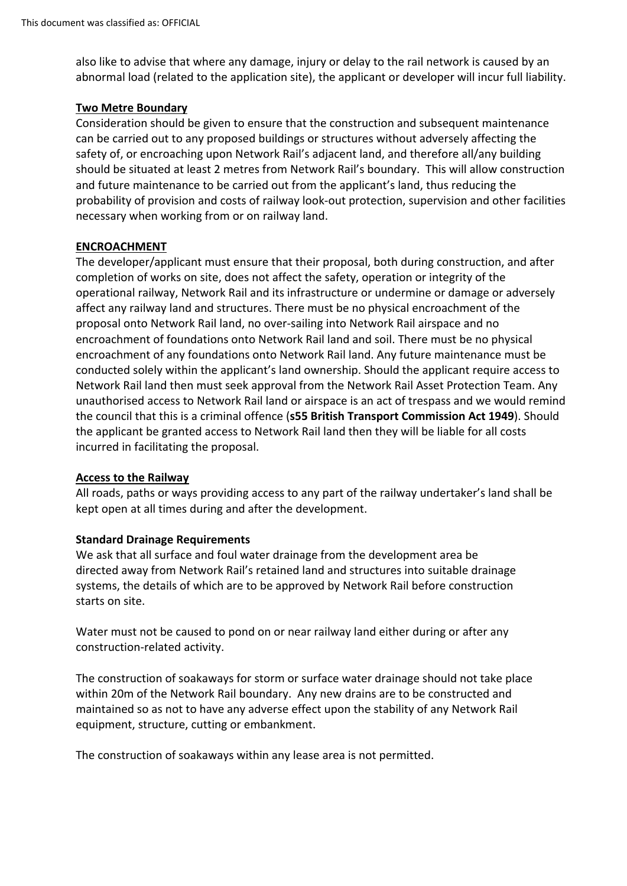also like to advise that where any damage, injury or delay to the rail network is caused by an abnormal load (related to the application site), the applicant or developer will incur full liability.

# **Two Metre Boundary**

Consideration should be given to ensure that the construction and subsequent maintenance can be carried out to any proposed buildings or structures without adversely affecting the safety of, or encroaching upon Network Rail's adjacent land, and therefore all/any building should be situated at least 2 metres from Network Rail's boundary. This will allow construction and future maintenance to be carried out from the applicant's land, thus reducing the probability of provision and costs of railway look-out protection, supervision and other facilities necessary when working from or on railway land.

# **ENCROACHMENT**

The developer/applicant must ensure that their proposal, both during construction, and after completion of works on site, does not affect the safety, operation or integrity of the operational railway, Network Rail and its infrastructure or undermine or damage or adversely affect any railway land and structures. There must be no physical encroachment of the proposal onto Network Rail land, no over-sailing into Network Rail airspace and no encroachment of foundations onto Network Rail land and soil. There must be no physical encroachment of any foundations onto Network Rail land. Any future maintenance must be conducted solely within the applicant's land ownership. Should the applicant require access to Network Rail land then must seek approval from the Network Rail Asset Protection Team. Any unauthorised access to Network Rail land or airspace is an act of trespass and we would remind the council that this is a criminal offence (**s55 British Transport Commission Act 1949**). Should the applicant be granted access to Network Rail land then they will be liable for all costs incurred in facilitating the proposal.

#### **Access to the Railway**

All roads, paths or ways providing access to any part of the railway undertaker's land shall be kept open at all times during and after the development.

#### **Standard Drainage Requirements**

We ask that all surface and foul water drainage from the development area be directed away from Network Rail's retained land and structures into suitable drainage systems, the details of which are to be approved by Network Rail before construction starts on site.

Water must not be caused to pond on or near railway land either during or after any construction-related activity.

The construction of soakaways for storm or surface water drainage should not take place within 20m of the Network Rail boundary. Any new drains are to be constructed and maintained so as not to have any adverse effect upon the stability of any Network Rail equipment, structure, cutting or embankment.

The construction of soakaways within any lease area is not permitted.